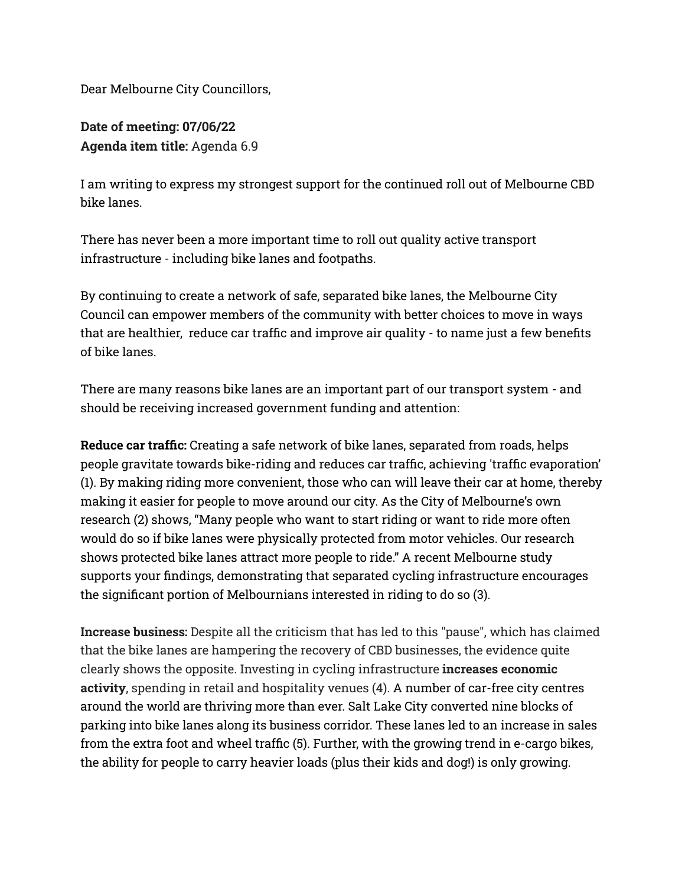Dear Melbourne City Councillors,

**Date of meeting: 07/06/22 Agenda item title:** Agenda 6.9

I am writing to express my strongest support for the continued roll out of Melbourne CBD bike lanes.

There has never been a more important time to roll out quality active transport infrastructure - including bike lanes and footpaths.

By continuing to create a network of safe, separated bike lanes, the Melbourne City Council can empower members of the community with better choices to move in ways that are healthier, reduce car traffic and improve air quality - to name just a few benefits of bike lanes.

There are many reasons bike lanes are an important part of our transport system - and should be receiving increased government funding and attention:

**Reduce car traffic:** Creating a safe network of bike lanes, separated from roads, helps people gravitate towards bike-riding and reduces car traffic, achieving 'traffic evaporation' (1). By making riding more convenient, those who can will leave their car at home, thereby making it easier for people to move around our city. As the City of Melbourne's own research (2) shows, "Many people who want to start riding or want to ride more often would do so if bike lanes were physically protected from motor vehicles. Our research shows protected bike lanes attract more people to ride." A recent Melbourne study supports your findings, demonstrating that separated cycling infrastructure encourages the significant portion of Melbournians interested in riding to do so (3).

**Increase business:** Despite all the criticism that has led to this "pause", which has claimed that the bike lanes are hampering the recovery of CBD businesses, the evidence quite clearly shows the opposite. Investing in cycling infrastructure **increases economic activity**, spending in retail and hospitality venues (4). A number of car-free city centres around the world are thriving more than ever. Salt Lake City converted nine blocks of parking into bike lanes along its business corridor. These lanes led to an increase in sales from the extra foot and wheel traffic (5). Further, with the growing trend in e-cargo bikes, the ability for people to carry heavier loads (plus their kids and dog!) is only growing.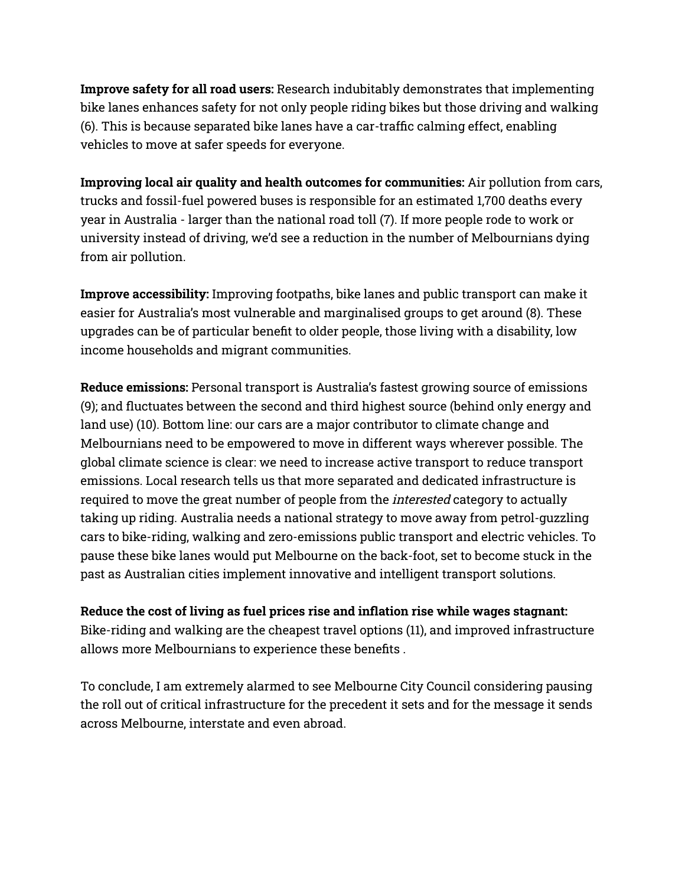**Improve safety for all road users:** Research indubitably demonstrates that implementing bike lanes enhances safety for not only people riding bikes but those driving and walking (6). This is because separated bike lanes have a car-traffic calming effect, enabling vehicles to move at safer speeds for everyone.

**Improving local air quality and health outcomes for communities:** Air pollution from cars, trucks and fossil-fuel powered buses is responsible for an estimated 1,700 deaths every year in Australia - larger than the national road toll (7). If more people rode to work or university instead of driving, we'd see a reduction in the number of Melbournians dying from air pollution.

**Improve accessibility:** Improving footpaths, bike lanes and public transport can make it easier for Australia's most vulnerable and marginalised groups to get around (8). These upgrades can be of particular benefit to older people, those living with a disability, low income households and migrant communities.

**Reduce emissions:** Personal transport is Australia's fastest growing source of emissions (9); and fluctuates between the second and third highest source (behind only energy and land use) (10). Bottom line: our cars are a major contributor to climate change and Melbournians need to be empowered to move in different ways wherever possible. The global climate science is clear: we need to increase active transport to reduce transport emissions. Local research tells us that more separated and dedicated infrastructure is required to move the great number of people from the *interested* category to actually taking up riding. Australia needs a national strategy to move away from petrol-guzzling cars to bike-riding, walking and zero-emissions public transport and electric vehicles. To pause these bike lanes would put Melbourne on the back-foot, set to become stuck in the past as Australian cities implement innovative and intelligent transport solutions.

## **Reduce the cost of living as fuel prices rise and inflation rise while wages stagnant:**

Bike-riding and walking are the cheapest travel options (11), and improved infrastructure allows more Melbournians to experience these benefits .

To conclude, I am extremely alarmed to see Melbourne City Council considering pausing the roll out of critical infrastructure for the precedent it sets and for the message it sends across Melbourne, interstate and even abroad.